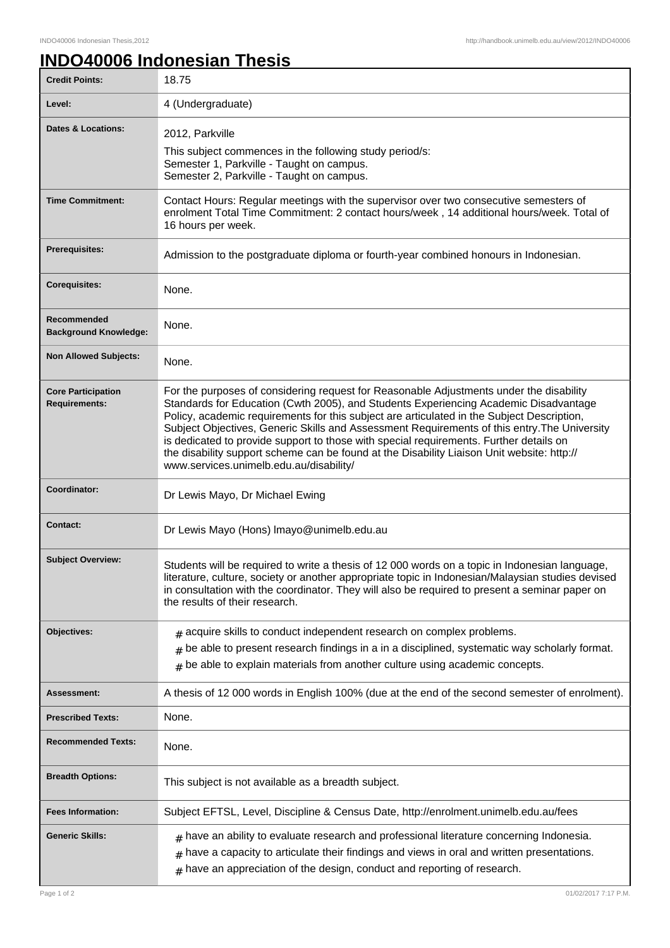## **INDO40006 Indonesian Thesis**

| <b>Credit Points:</b>                             | 18.75                                                                                                                                                                                                                                                                                                                                                                                                                                                                                                                                                                                                            |
|---------------------------------------------------|------------------------------------------------------------------------------------------------------------------------------------------------------------------------------------------------------------------------------------------------------------------------------------------------------------------------------------------------------------------------------------------------------------------------------------------------------------------------------------------------------------------------------------------------------------------------------------------------------------------|
| Level:                                            | 4 (Undergraduate)                                                                                                                                                                                                                                                                                                                                                                                                                                                                                                                                                                                                |
| <b>Dates &amp; Locations:</b>                     | 2012, Parkville<br>This subject commences in the following study period/s:<br>Semester 1, Parkville - Taught on campus.<br>Semester 2, Parkville - Taught on campus.                                                                                                                                                                                                                                                                                                                                                                                                                                             |
| <b>Time Commitment:</b>                           | Contact Hours: Regular meetings with the supervisor over two consecutive semesters of<br>enrolment Total Time Commitment: 2 contact hours/week, 14 additional hours/week. Total of<br>16 hours per week.                                                                                                                                                                                                                                                                                                                                                                                                         |
| <b>Prerequisites:</b>                             | Admission to the postgraduate diploma or fourth-year combined honours in Indonesian.                                                                                                                                                                                                                                                                                                                                                                                                                                                                                                                             |
| <b>Corequisites:</b>                              | None.                                                                                                                                                                                                                                                                                                                                                                                                                                                                                                                                                                                                            |
| Recommended<br><b>Background Knowledge:</b>       | None.                                                                                                                                                                                                                                                                                                                                                                                                                                                                                                                                                                                                            |
| <b>Non Allowed Subjects:</b>                      | None.                                                                                                                                                                                                                                                                                                                                                                                                                                                                                                                                                                                                            |
| <b>Core Participation</b><br><b>Requirements:</b> | For the purposes of considering request for Reasonable Adjustments under the disability<br>Standards for Education (Cwth 2005), and Students Experiencing Academic Disadvantage<br>Policy, academic requirements for this subject are articulated in the Subject Description,<br>Subject Objectives, Generic Skills and Assessment Requirements of this entry. The University<br>is dedicated to provide support to those with special requirements. Further details on<br>the disability support scheme can be found at the Disability Liaison Unit website: http://<br>www.services.unimelb.edu.au/disability/ |
| Coordinator:                                      | Dr Lewis Mayo, Dr Michael Ewing                                                                                                                                                                                                                                                                                                                                                                                                                                                                                                                                                                                  |
| <b>Contact:</b>                                   | Dr Lewis Mayo (Hons) Imayo@unimelb.edu.au                                                                                                                                                                                                                                                                                                                                                                                                                                                                                                                                                                        |
| <b>Subject Overview:</b>                          | Students will be required to write a thesis of 12 000 words on a topic in Indonesian language,<br>literature, culture, society or another appropriate topic in Indonesian/Malaysian studies devised<br>in consultation with the coordinator. They will also be required to present a seminar paper on<br>the results of their research.                                                                                                                                                                                                                                                                          |
| Objectives:                                       | $#$ acquire skills to conduct independent research on complex problems.<br>$#$ be able to present research findings in a in a disciplined, systematic way scholarly format.<br>$*$ be able to explain materials from another culture using academic concepts.                                                                                                                                                                                                                                                                                                                                                    |
| Assessment:                                       | A thesis of 12 000 words in English 100% (due at the end of the second semester of enrolment).                                                                                                                                                                                                                                                                                                                                                                                                                                                                                                                   |
| <b>Prescribed Texts:</b>                          | None.                                                                                                                                                                                                                                                                                                                                                                                                                                                                                                                                                                                                            |
| <b>Recommended Texts:</b>                         | None.                                                                                                                                                                                                                                                                                                                                                                                                                                                                                                                                                                                                            |
| <b>Breadth Options:</b>                           | This subject is not available as a breadth subject.                                                                                                                                                                                                                                                                                                                                                                                                                                                                                                                                                              |
| <b>Fees Information:</b>                          | Subject EFTSL, Level, Discipline & Census Date, http://enrolment.unimelb.edu.au/fees                                                                                                                                                                                                                                                                                                                                                                                                                                                                                                                             |
| <b>Generic Skills:</b>                            | $*$ have an ability to evaluate research and professional literature concerning Indonesia.<br>have a capacity to articulate their findings and views in oral and written presentations.<br>#<br>$*$ have an appreciation of the design, conduct and reporting of research.                                                                                                                                                                                                                                                                                                                                       |